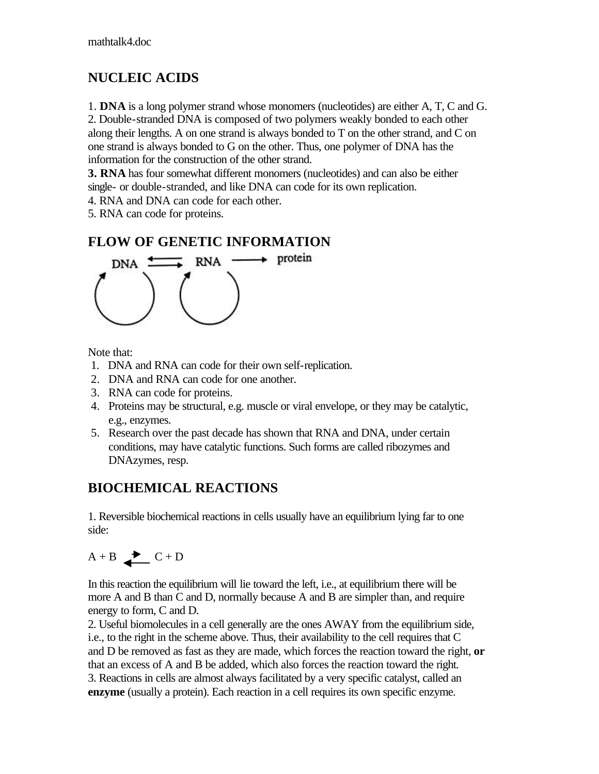#### **NUCLEIC ACIDS**

1. **DNA** is a long polymer strand whose monomers (nucleotides) are either A, T, C and G.

2. Double-stranded DNA is composed of two polymers weakly bonded to each other along their lengths. A on one strand is always bonded to T on the other strand, and C on one strand is always bonded to G on the other. Thus, one polymer of DNA has the information for the construction of the other strand.

**3. RNA** has four somewhat different monomers (nucleotides) and can also be either single- or double-stranded, and like DNA can code for its own replication.

4. RNA and DNA can code for each other.

5. RNA can code for proteins.

#### **FLOW OF GENETIC INFORMATION**



Note that:

- 1. DNA and RNA can code for their own self-replication.
- 2. DNA and RNA can code for one another.
- 3. RNA can code for proteins.
- 4. Proteins may be structural, e.g. muscle or viral envelope, or they may be catalytic, e.g., enzymes.
- 5. Research over the past decade has shown that RNA and DNA, under certain conditions, may have catalytic functions. Such forms are called ribozymes and DNAzymes, resp.

#### **BIOCHEMICAL REACTIONS**

1. Reversible biochemical reactions in cells usually have an equilibrium lying far to one side:

$$
A + B \nightharpoonup C + D
$$

In this reaction the equilibrium will lie toward the left, i.e., at equilibrium there will be more A and B than C and D, normally because A and B are simpler than, and require energy to form, C and D.

2. Useful biomolecules in a cell generally are the ones AWAY from the equilibrium side, i.e., to the right in the scheme above. Thus, their availability to the cell requires that C and D be removed as fast as they are made, which forces the reaction toward the right, **or** that an excess of A and B be added, which also forces the reaction toward the right. 3. Reactions in cells are almost always facilitated by a very specific catalyst, called an **enzyme** (usually a protein). Each reaction in a cell requires its own specific enzyme.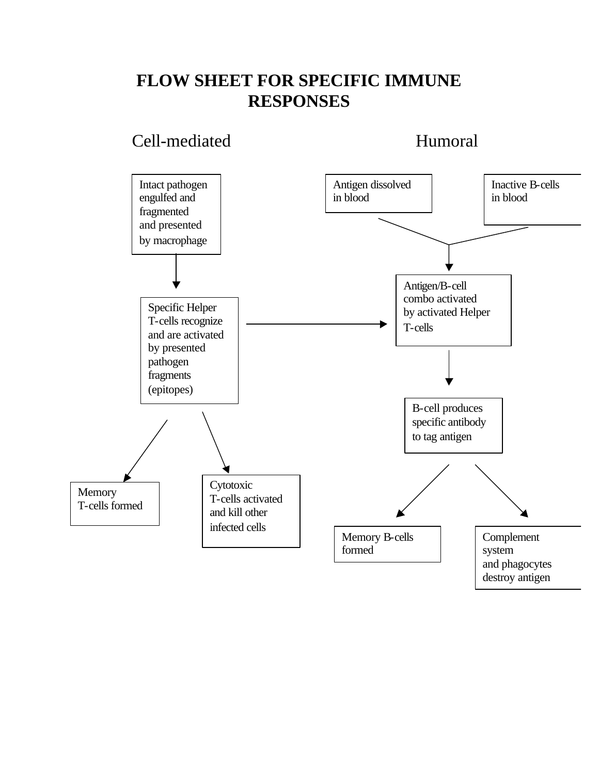## **FLOW SHEET FOR SPECIFIC IMMUNE RESPONSES**

#### Cell-mediated Humoral

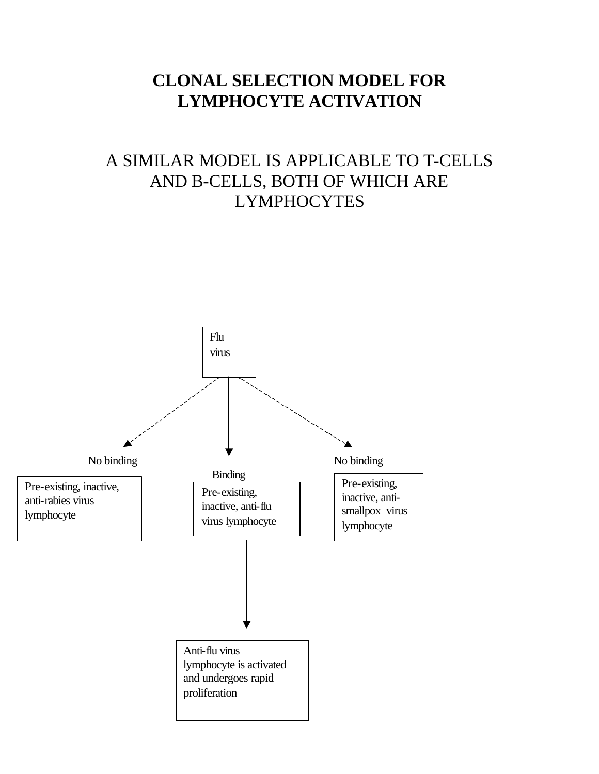### **CLONAL SELECTION MODEL FOR LYMPHOCYTE ACTIVATION**

# A SIMILAR MODEL IS APPLICABLE TO T-CELLS AND B-CELLS, BOTH OF WHICH ARE LYMPHOCYTES

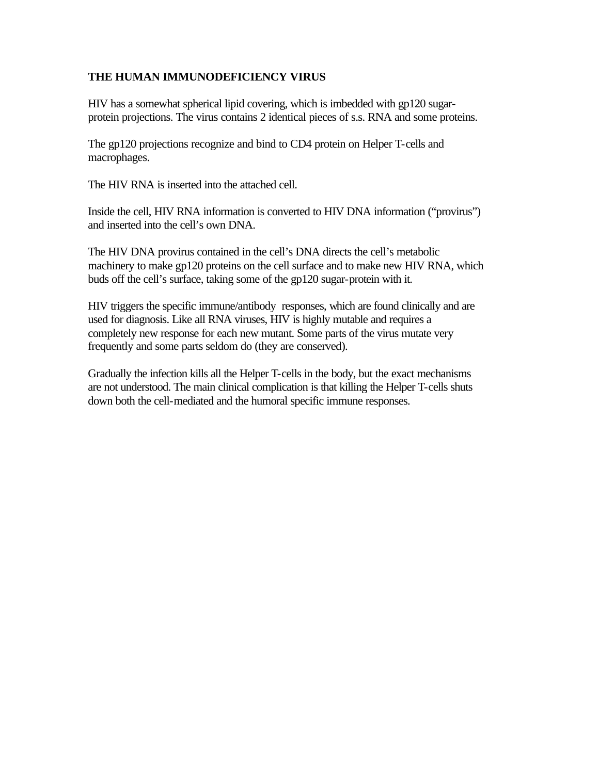#### **THE HUMAN IMMUNODEFICIENCY VIRUS**

HIV has a somewhat spherical lipid covering, which is imbedded with gp120 sugarprotein projections. The virus contains 2 identical pieces of s.s. RNA and some proteins.

The gp120 projections recognize and bind to CD4 protein on Helper T-cells and macrophages.

The HIV RNA is inserted into the attached cell.

Inside the cell, HIV RNA information is converted to HIV DNA information ("provirus") and inserted into the cell's own DNA.

The HIV DNA provirus contained in the cell's DNA directs the cell's metabolic machinery to make gp120 proteins on the cell surface and to make new HIV RNA, which buds off the cell's surface, taking some of the gp120 sugar-protein with it.

HIV triggers the specific immune/antibody responses, which are found clinically and are used for diagnosis. Like all RNA viruses, HIV is highly mutable and requires a completely new response for each new mutant. Some parts of the virus mutate very frequently and some parts seldom do (they are conserved).

Gradually the infection kills all the Helper T-cells in the body, but the exact mechanisms are not understood. The main clinical complication is that killing the Helper T-cells shuts down both the cell-mediated and the humoral specific immune responses.